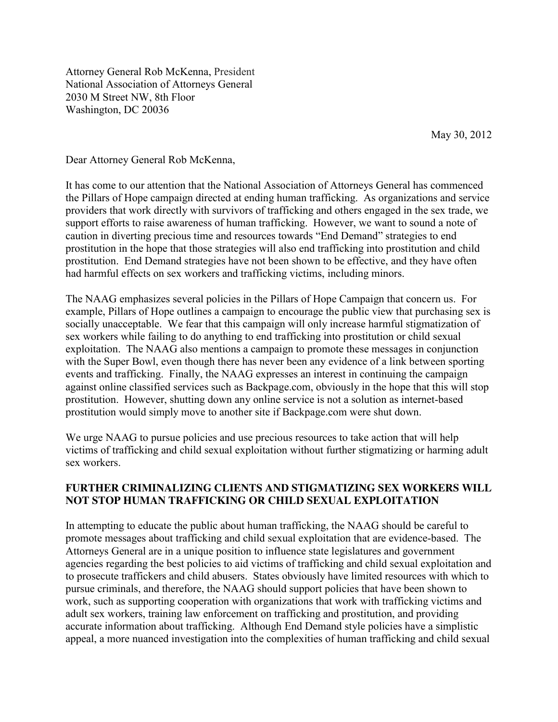Attorney General Rob McKenna, President National Association of Attorneys General 2030 M Street NW, 8th Floor Washington, DC 20036

May 30, 2012

Dear Attorney General Rob McKenna,

It has come to our attention that the National Association of Attorneys General has commenced the Pillars of Hope campaign directed at ending human trafficking. As organizations and service providers that work directly with survivors of trafficking and others engaged in the sex trade, we support efforts to raise awareness of human trafficking. However, we want to sound a note of caution in diverting precious time and resources towards "End Demand" strategies to end prostitution in the hope that those strategies will also end trafficking into prostitution and child prostitution. End Demand strategies have not been shown to be effective, and they have often had harmful effects on sex workers and trafficking victims, including minors.

The NAAG emphasizes several policies in the Pillars of Hope Campaign that concern us. For example, Pillars of Hope outlines a campaign to encourage the public view that purchasing sex is socially unacceptable. We fear that this campaign will only increase harmful stigmatization of sex workers while failing to do anything to end trafficking into prostitution or child sexual exploitation. The NAAG also mentions a campaign to promote these messages in conjunction with the Super Bowl, even though there has never been any evidence of a link between sporting events and trafficking. Finally, the NAAG expresses an interest in continuing the campaign against online classified services such as Backpage.com, obviously in the hope that this will stop prostitution. However, shutting down any online service is not a solution as internet-based prostitution would simply move to another site if Backpage.com were shut down.

We urge NAAG to pursue policies and use precious resources to take action that will help victims of trafficking and child sexual exploitation without further stigmatizing or harming adult sex workers.

### **FURTHER CRIMINALIZING CLIENTS AND STIGMATIZING SEX WORKERS WILL NOT STOP HUMAN TRAFFICKING OR CHILD SEXUAL EXPLOITATION**

In attempting to educate the public about human trafficking, the NAAG should be careful to promote messages about trafficking and child sexual exploitation that are evidence-based. The Attorneys General are in a unique position to influence state legislatures and government agencies regarding the best policies to aid victims of trafficking and child sexual exploitation and to prosecute traffickers and child abusers. States obviously have limited resources with which to pursue criminals, and therefore, the NAAG should support policies that have been shown to work, such as supporting cooperation with organizations that work with trafficking victims and adult sex workers, training law enforcement on trafficking and prostitution, and providing accurate information about trafficking. Although End Demand style policies have a simplistic appeal, a more nuanced investigation into the complexities of human trafficking and child sexual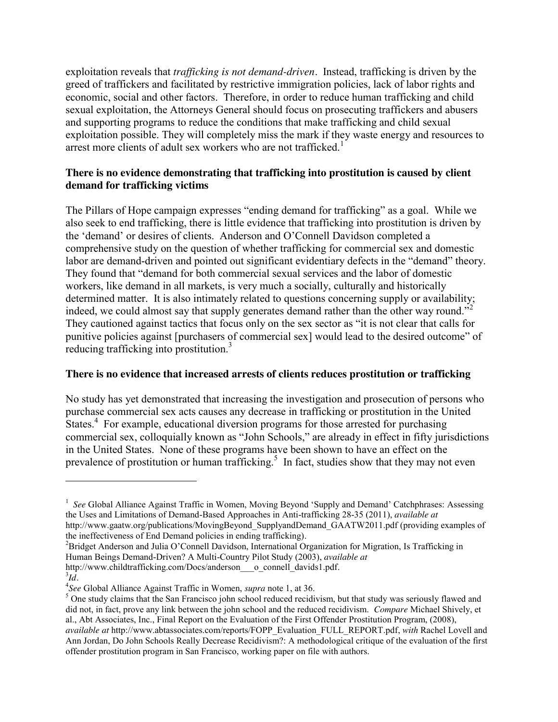exploitation reveals that *trafficking is not demand-driven.* Instead, trafficking is driven by the greed of traffickers and facilitated by restrictive immigration policies, lack of labor rights and economic, social and other factors. Therefore, in order to reduce human trafficking and child sexual exploitation, the Attorneys General should focus on prosecuting traffickers and abusers and supporting programs to reduce the conditions that make trafficking and child sexual exploitation possible. They will completely miss the mark if they waste energy and resources to arrest more clients of adult sex workers who are not trafficked.<sup>1</sup>

## **There is no evidence demonstrating that trafficking into prostitution is caused by client demand for trafficking victims**

The Pillars of Hope campaign expresses "ending demand for trafficking" as a goal. While we also seek to end trafficking, there is little evidence that trafficking into prostitution is driven by the 'demand' or desires of clients. Anderson and O'Connell Davidson completed a comprehensive study on the question of whether trafficking for commercial sex and domestic labor are demand-driven and pointed out significant evidentiary defects in the "demand" theory. They found that "demand for both commercial sexual services and the labor of domestic workers, like demand in all markets, is very much a socially, culturally and historically determined matter. It is also intimately related to questions concerning supply or availability; indeed, we could almost say that supply generates demand rather than the other way round."<sup>2</sup> They cautioned against tactics that focus only on the sex sector as "it is not clear that calls for punitive policies against [purchasers of commercial sex] would lead to the desired outcome" of reducing trafficking into prostitution.<sup>3</sup>

### **There is no evidence that increased arrests of clients reduces prostitution or trafficking**

No study has yet demonstrated that increasing the investigation and prosecution of persons who purchase commercial sex acts causes any decrease in trafficking or prostitution in the United States.<sup>4</sup> For example, educational diversion programs for those arrested for purchasing commercial sex, colloquially known as "John Schools," are already in effect in fifty jurisdictions in the United States. None of these programs have been shown to have an effect on the prevalence of prostitution or human trafficking.<sup>5</sup> In fact, studies show that they may not even

 $\overline{a}$ 

<sup>&</sup>lt;sup>1</sup> See Global Alliance Against Traffic in Women, Moving Beyond 'Supply and Demand' Catchphrases: Assessing the Uses and Limitations of Demand-Based Approaches in Anti-trafficking 28-35 (2011), *available at* [http://www.gaatw.org/publications/MovingBeyond\\_SupplyandDemand\\_GAATW2011.pdf](http://www.gaatw.org/publications/MovingBeyond_SupplyandDemand_GAATW2011.pdf) (providing examples of the ineffectiveness of End Demand policies in ending trafficking).

 $B^2$ Bridget Anderson and Julia O'Connell Davidson, International Organization for Migration, Is Trafficking in Human Beings Demand-Driven? A Multi-Country Pilot Study (2003), *available at* [http://www.childtrafficking.com/Docs/anderson\\_\\_\\_o\\_connell\\_davids1.pdf.](http://www.childtrafficking.com/Docs/anderson___o_connell_davids1.pdf)

*Id.*

<sup>&</sup>lt;sup>4</sup>See Global Alliance Against Traffic in Women, *supra* note 1, at 36.

<sup>&</sup>lt;sup>5</sup> One study claims that the San Francisco john school reduced recidivism, but that study was seriously flawed and did not, in fact, prove any link between the john school and the reduced recidivism. *Compare* Michael Shively, et al., Abt Associates, Inc., Final Report on the Evaluation of the First Offender Prostitution Program, (2008), *available at* [http://www.abtassociates.com/reports/FOPP\\_Evaluation\\_FULL\\_REPORT.pdf,](http://www.abtassociates.com/reports/FOPP_Evaluation_FULL_REPORT.pdf) *with* Rachel Lovell and Ann Jordan, Do John Schools Really Decrease Recidivism?: A methodological critique of the evaluation of the first

offender prostitution program in San Francisco, working paper on file with authors.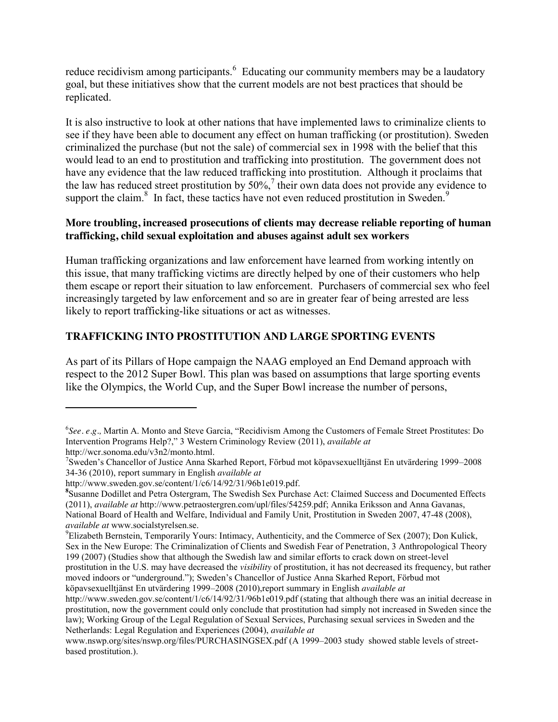reduce recidivism among participants. <sup>6</sup> Educating our community members may be a laudatory goal, but these initiatives show that the current models are not best practices that should be replicated.

It is also instructive to look at other nations that have implemented laws to criminalize clients to see if they have been able to document any effect on human trafficking (or prostitution). Sweden criminalized the purchase (but not the sale) of commercial sex in 1998 with the belief that this would lead to an end to prostitution and trafficking into prostitution. The government does not have any evidence that the law reduced trafficking into prostitution. Although it proclaims that the law has reduced street prostitution by  $50\%$ , their own data does not provide any evidence to support the claim. $8\,$  In fact, these tactics have not even reduced prostitution in Sweden. $9\,$ 

### **More troubling, increased prosecutions of clients may decrease reliable reporting of human trafficking, child sexual exploitation and abuses against adult sex workers**

Human trafficking organizations and law enforcement have learned from working intently on this issue, that many trafficking victims are directly helped by one of their customers who help them escape or report their situation to law enforcement. Purchasers of commercial sex who feel increasingly targeted by law enforcement and so are in greater fear of being arrested are less likely to report trafficking-like situations or act as witnesses.

## **TRAFFICKING INTO PROSTITUTION AND LARGE SPORTING EVENTS**

As part of its Pillars of Hope campaign the NAAG employed an End Demand approach with respect to the 2012 Super Bowl. This plan was based on assumptions that large sporting events like the Olympics, the World Cup, and the Super Bowl increase the number of persons,

[http://www.sweden.gov.se/content/1/c6/14/92/31/96b1e019.pdf.](http://www.sweden.gov.se/content/1/c6/14/92/31/96b1e019.pdf)

 $\overline{a}$ 

<sup>6</sup> *See. e.g.,* Martin A. Monto and Steve Garcia, "Recidivism Among the Customers of Female Street Prostitutes: Do Intervention Programs Help?," 3 Western Criminology Review (2011), *available at* [http://wcr.sonoma.edu/v3n2/monto.html.](http://wcr.sonoma.edu/v3n2/monto.html) <sup>7</sup>

Sweden's Chancellor of Justice Anna Skarhed Report, Förbud mot köpavsexuelltjänst En utvärdering 1999–2008 34-36 (2010), report summary in English *available at*

**<sup>8</sup>** Susanne Dodillet and Petra Ostergram, The Swedish Sex Purchase Act: Claimed Success and Documented Effects (2011), *available at* [http://www.petraostergren.com/upl/files/54259.pdf;](http://www.petraostergren.com/upl/files/54259.pdf) Annika Eriksson and Anna Gavanas, National Board of Health and Welfare, Individual and Family Unit, Prostitution in Sweden 2007, 47-48 (2008), *available at* [www.socialstyrelsen.se.](http://www.socialstyrelsen.se/)

<sup>&</sup>lt;sup>9</sup>Elizabeth Bernstein, Temporarily Yours: Intimacy, Authenticity, and the Commerce of Sex (2007); Don Kulick, Sex in the New Europe: The Criminalization of Clients and Swedish Fear of Penetration, 3 Anthropological Theory 199 (2007) (Studies show that although the Swedish law and similar efforts to crack down on street-level

prostitution in the U.S. may have decreased the *visibility* of prostitution, it has not decreased its frequency, but rather moved indoors or "underground."); Sweden's Chancellor of Justice Anna Skarhed Report, Förbud mot köpavsexuelltjänst En utvärdering 1999–2008 (2010),report summary in English *available at*

<http://www.sweden.gov.se/content/1/c6/14/92/31/96b1e019.pdf> (stating that although there was an initial decrease in prostitution, now the government could only conclude that prostitution had simply not increased in Sweden since the law); Working Group of the Legal Regulation of Sexual Services, Purchasing sexual services in Sweden and the Netherlands: Legal Regulation and Experiences (2004), *available at*

[www.nswp.org/sites/nswp.org/files/PURCHASINGSEX.pdf](http://www.nswp.org/sites/nswp.org/files/PURCHASINGSEX.pdf) (A 1999–2003 study showed stable levels of streetbased prostitution.).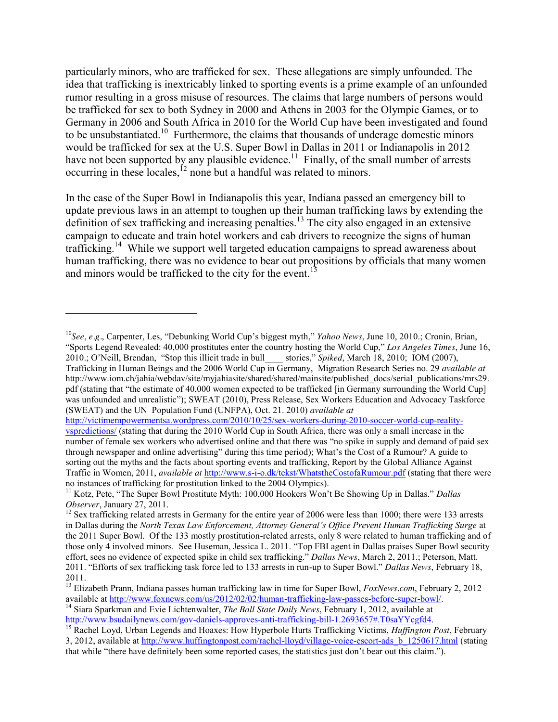particularly minors, who are trafficked for sex. These allegations are simply unfounded. The idea that trafficking is inextricably linked to sporting events is a prime example of an unfounded rumor resulting in a gross misuse of resources. The claims that large numbers of persons would be trafficked for sex to both Sydney in 2000 and Athens in 2003 for the Olympic Games, or to Germany in 2006 and South Africa in 2010 for the World Cup have been investigated and found to be unsubstantiated.<sup>10</sup> Furthermore, the claims that thousands of underage domestic minors would be trafficked for sex at the U.S. Super Bowl in Dallas in 2011 or Indianapolis in 2012 have not been supported by any plausible evidence.<sup>11</sup> Finally, of the small number of arrests occurring in these locales, $^{12}$  none but a handful was related to minors.

In the case of the Super Bowl in Indianapolis this year, Indiana passed an emergency bill to update previous laws in an attempt to toughen up their human trafficking laws by extending the definition of sex trafficking and increasing penalties.<sup>13</sup> The city also engaged in an extensive campaign to educate and train hotel workers and cab drivers to recognize the signs of human trafficking.<sup>14</sup> While we support well targeted education campaigns to spread awareness about human trafficking, there was no evidence to bear out propositions by officials that many women and minors would be trafficked to the city for the event.<sup>15</sup>

 $\overline{a}$ 

[http://victimempowermentsa.wordpress.com/2010/10/25/sex-workers-during-2010-soccer-world-cup-reality](http://victimempowermentsa.wordpress.com/2010/10/25/sex-workers-during-2010-soccer-world-cup-reality-vspredictions/)[vspredictions/](http://victimempowermentsa.wordpress.com/2010/10/25/sex-workers-during-2010-soccer-world-cup-reality-vspredictions/) (stating that during the 2010 World Cup in South Africa, there was only a small increase in the number of female sex workers who advertised online and that there was "no spike in supply and demand of paid sex through newspaper and online advertising" during this time period); What's the Cost of a Rumour? A guide to sorting out the myths and the facts about sporting events and trafficking, Report by the Global Alliance Against Traffic in Women, 2011, *available at* <http://www.s-i-o.dk/tekst/WhatstheCostofaRumour.pdf> (stating that there were

<sup>10</sup>*See*, *e.g.*, Carpenter, Les, "Debunking World Cup's biggest myth," *Yahoo News*, June 10, 2010.; Cronin, Brian, "Sports Legend Revealed: 40,000 prostitutes enter the country hosting the World Cup," *Los Angeles Times*, June 16, 2010.; O'Neill, Brendan, "Stop this illicit trade in bull\_\_\_\_ stories," *Spiked*, March 18, 2010; IOM (2007), Trafficking in Human Beings and the 2006 World Cup in Germany, Migration Research Series no. 29 *available at*  http://www.iom.ch/jahia/webdav/site/myjahiasite/shared/shared/mainsite/published\_docs/serial\_publications/mrs29. pdf (stating that "the estimate of 40,000 women expected to be trafficked [in Germany surrounding the World Cup] was unfounded and unrealistic"); SWEAT (2010), Press Release, Sex Workers Education and Advocacy Taskforce (SWEAT) and the UN Population Fund (UNFPA), Oct. 21. 2010) *available at* 

<sup>&</sup>lt;sup>11</sup> Kotz, Pete, "The Super Bowl Prostitute Myth: 100,000 Hookers Won't Be Showing Up in Dallas." *Dallas Observer*, January 27, 2011.

<sup>&</sup>lt;sup>12</sup> Sex trafficking related arrests in Germany for the entire year of 2006 were less than 1000; there were 133 arrests in Dallas during the *North Texas Law Enforcement, Attorney General's Office Prevent Human Trafficking Surge* at the 2011 Super Bowl. Of the 133 mostly prostitution-related arrests, only 8 were related to human trafficking and of those only 4 involved minors. See Huseman, Jessica L. 2011. "Top FBI agent in Dallas praises Super Bowl security effort, sees no evidence of expected spike in child sex trafficking." *Dallas News*, March 2, 2011.; Peterson, Matt. 2011. "Efforts of sex trafficking task force led to 133 arrests in run-up to Super Bowl." *Dallas News*, February 18, 2011.

<sup>&</sup>lt;sup>13</sup> Elizabeth Prann, Indiana passes human trafficking law in time for Super Bowl, *FoxNews.com*, February 2, 2012 available at http://www.foxnews.com/us/2012/02/02/human-trafficking-law-passes-before-super-bowl/.

<sup>&</sup>lt;sup>14</sup> Siara Sparkman and Evie Lichtenwalter, *The Ball State Daily News*, February 1, 2012, available at http://www.bsudailynews.com/gov-daniels-approves-anti-trafficking-bill-1.2693657#.T0saYYcgfd4.

<sup>&</sup>lt;sup>15</sup> Rachel Loyd, Urban Legends and Hoaxes: How Hyperbole Hurts Trafficking Victims, *Huffington Post*, February 3, 2012, available at [http://www.huffingtonpost.com/rachel-lloyd/village-voice-escort-ads\\_b\\_1250617.html](http://www.huffingtonpost.com/rachel-lloyd/village-voice-escort-ads_b_1250617.html) (stating that while "there have definitely been some reported cases, the statistics just don't bear out this claim.").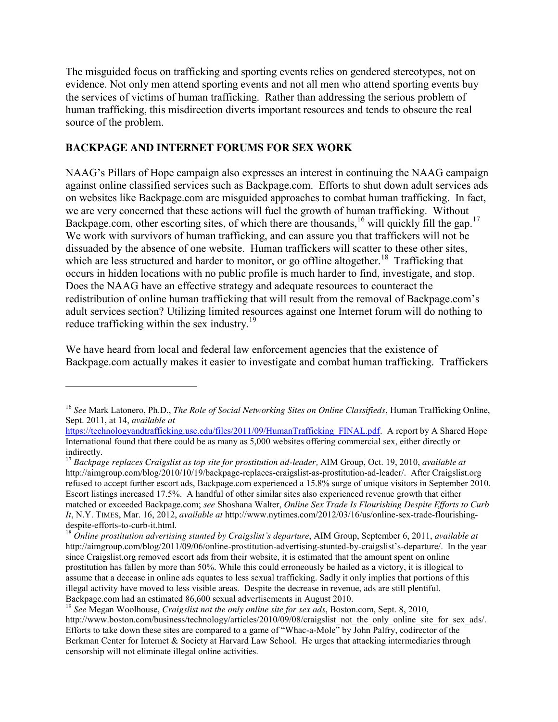The misguided focus on trafficking and sporting events relies on gendered stereotypes, not on evidence. Not only men attend sporting events and not all men who attend sporting events buy the services of victims of human trafficking. Rather than addressing the serious problem of human trafficking, this misdirection diverts important resources and tends to obscure the real source of the problem.

## **BACKPAGE AND INTERNET FORUMS FOR SEX WORK**

 $\overline{a}$ 

NAAG's Pillars of Hope campaign also expresses an interest in continuing the NAAG campaign against online classified services such as Backpage.com. Efforts to shut down adult services ads on websites like Backpage.com are misguided approaches to combat human trafficking. In fact, we are very concerned that these actions will fuel the growth of human trafficking. Without Backpage.com, other escorting sites, of which there are thousands,<sup>16</sup> will quickly fill the gap.<sup>17</sup> We work with survivors of human trafficking, and can assure you that traffickers will not be dissuaded by the absence of one website. Human traffickers will scatter to these other sites, which are less structured and harder to monitor, or go offline altogether.<sup>18</sup> Trafficking that occurs in hidden locations with no public profile is much harder to find, investigate, and stop. Does the NAAG have an effective strategy and adequate resources to counteract the redistribution of online human trafficking that will result from the removal of Backpage.com's adult services section? Utilizing limited resources against one Internet forum will do nothing to reduce trafficking within the sex industry.<sup>19</sup>

We have heard from local and federal law enforcement agencies that the existence of Backpage.com actually makes it easier to investigate and combat human trafficking. Traffickers

<sup>16</sup> *See* Mark Latonero, Ph.D., *The Role of Social Networking Sites on Online Classifieds*, Human Trafficking Online, Sept. 2011, at 14, *available at*

[https://technologyandtrafficking.usc.edu/files/2011/09/HumanTrafficking\\_FINAL.pdf.](https://technologyandtrafficking.usc.edu/files/2011/09/HumanTrafficking_FINAL.pdf) A report by A Shared Hope International found that there could be as many as 5,000 websites offering commercial sex, either directly or

<sup>&</sup>lt;sup>17</sup> *Backpage replaces Craigslist as top site for prostitution ad-leader, AIM Group, Oct. 19, 2010, <i>available at* http://aimgroup.com/blog/2010/10/19/backpage-replaces-craigslist-as-prostitution-ad-leader/. After Craigslist.org refused to accept further escort ads, Backpage.com experienced a 15.8% surge of unique visitors in September 2010. Escort listings increased 17.5%. A handful of other similar sites also experienced revenue growth that either matched or exceeded Backpage.com; *see* Shoshana Walter, *Online Sex Trade Is Flourishing Despite Efforts to Curb It*, N.Y. TIMES, Mar. 16, 2012, *available at* http://www.nytimes.com/2012/03/16/us/online-sex-trade-flourishing-

<sup>&</sup>lt;sup>18</sup> Online prostitution advertising stunted by Craigslist's departure, AIM Group, September 6, 2011, *available at* http://aimgroup.com/blog/2011/09/06/online-prostitution-advertising-stunted-by-craigslist's-departure/. In the year since Craigslist.org removed escort ads from their website, it is estimated that the amount spent on online prostitution has fallen by more than 50%. While this could erroneously be hailed as a victory, it is illogical to assume that a decease in online ads equates to less sexual trafficking. Sadly it only implies that portions of this illegal activity have moved to less visible areas. Despite the decrease in revenue, ads are still plentiful. Backpage.com had an estimated 86,600 sexual advertisements in August 2010.

<sup>19</sup> *See* Megan Woolhouse, *Craigslist not the only online site for sex ads*, Boston.com, Sept. 8, 2010, http://www.boston.com/business/technology/articles/2010/09/08/craigslist\_not\_the\_only\_online\_site\_for\_sex\_ads/. Efforts to take down these sites are compared to a game of "Whac-a-Mole" by John Palfry, codirector of the Berkman Center for Internet & Society at Harvard Law School. He urges that attacking intermediaries through censorship will not eliminate illegal online activities.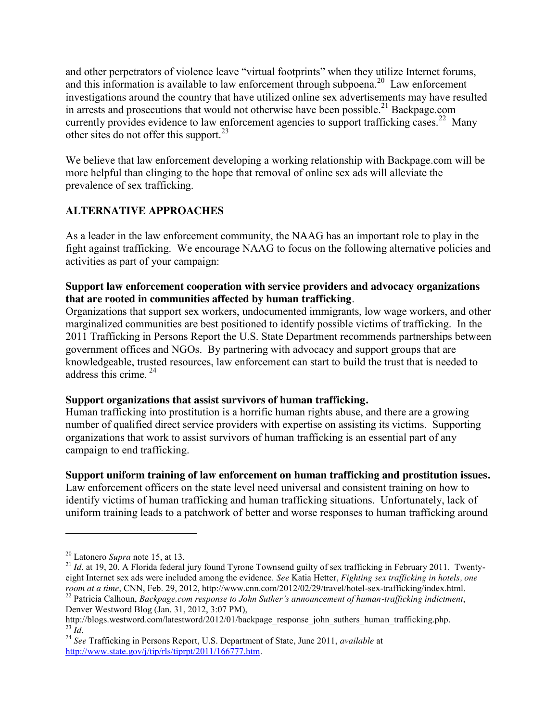and other perpetrators of violence leave "virtual footprints" when they utilize Internet forums, and this information is available to law enforcement through subpoena.<sup>20</sup> Law enforcement investigations around the country that have utilized online sex advertisements may have resulted in arrests and prosecutions that would not otherwise have been possible.<sup>21</sup> Backpage.com currently provides evidence to law enforcement agencies to support trafficking cases.<sup>22</sup> Many other sites do not offer this support. $^{23}$ 

We believe that law enforcement developing a working relationship with Backpage.com will be more helpful than clinging to the hope that removal of online sex ads will alleviate the prevalence of sex trafficking.

# **ALTERNATIVE APPROACHES**

As a leader in the law enforcement community, the NAAG has an important role to play in the fight against trafficking. We encourage NAAG to focus on the following alternative policies and activities as part of your campaign:

### **Support law enforcement cooperation with service providers and advocacy organizations that are rooted in communities affected by human trafficking**.

Organizations that support sex workers, undocumented immigrants, low wage workers, and other marginalized communities are best positioned to identify possible victims of trafficking. In the 2011 Trafficking in Persons Report the U.S. State Department recommends partnerships between government offices and NGOs. By partnering with advocacy and support groups that are knowledgeable, trusted resources, law enforcement can start to build the trust that is needed to address this crime.<sup>24</sup>

### **Support organizations that assist survivors of human trafficking.**

Human trafficking into prostitution is a horrific human rights abuse, and there are a growing number of qualified direct service providers with expertise on assisting its victims. Supporting organizations that work to assist survivors of human trafficking is an essential part of any campaign to end trafficking.

### **Support uniform training of law enforcement on human trafficking and prostitution issues.**

Law enforcement officers on the state level need universal and consistent training on how to identify victims of human trafficking and human trafficking situations. Unfortunately, lack of uniform training leads to a patchwork of better and worse responses to human trafficking around

 $\overline{a}$ 

<sup>&</sup>lt;sup>20</sup> Latonero *Supra* note 15, at 13.<br><sup>21</sup> *Id.* at 19, 20. A Florida federal jury found Tyrone Townsend guilty of sex trafficking in February 2011. Twentyeight Internet sex ads were included among the evidence. *See* Katia Hetter, *Fighting sex trafficking in hotels, one*  <sup>22</sup> Patricia Calhoun, Backpage.com response to John Suther's announcement of human-trafficking indictment,

Denver Westword Blog (Jan. 31, 2012, 3:07 PM),<br>http://blogs.westword.com/latestword/2012/01/backpage response john suthers human trafficking.php. <sup>23</sup> *Id.*<br><sup>24</sup> *See* Trafficking in Persons Report, U.S. Department of State, June 2011, *available* at

[http://www.state.gov/j/tip/rls/tiprpt/2011/166777.htm.](http://www.state.gov/j/tip/rls/tiprpt/2011/166777.htm)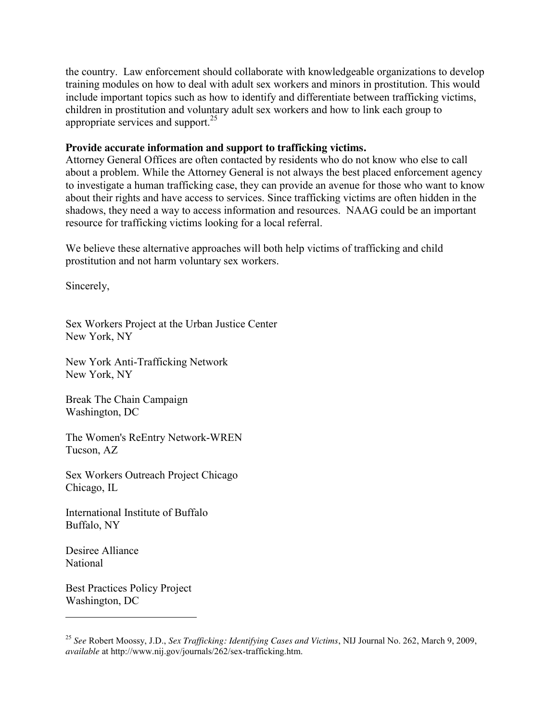the country. Law enforcement should collaborate with knowledgeable organizations to develop training modules on how to deal with adult sex workers and minors in prostitution. This would include important topics such as how to identify and differentiate between trafficking victims, children in prostitution and voluntary adult sex workers and how to link each group to appropriate services and support. $25$ 

### **Provide accurate information and support to trafficking victims.**

Attorney General Offices are often contacted by residents who do not know who else to call about a problem. While the Attorney General is not always the best placed enforcement agency to investigate a human trafficking case, they can provide an avenue for those who want to know about their rights and have access to services. Since trafficking victims are often hidden in the shadows, they need a way to access information and resources. NAAG could be an important resource for trafficking victims looking for a local referral.

We believe these alternative approaches will both help victims of trafficking and child prostitution and not harm voluntary sex workers.

Sincerely,

Sex Workers Project at the Urban Justice Center New York, NY

New York Anti-Trafficking Network New York, NY

Break The Chain Campaign Washington, DC

The Women's ReEntry Network-WREN Tucson, AZ

Sex Workers Outreach Project Chicago Chicago, IL

International Institute of Buffalo Buffalo, NY

Desiree Alliance National

 $\overline{a}$ 

Best Practices Policy Project Washington, DC

<sup>25</sup> *See* Robert Moossy, J.D., *Sex Trafficking: Identifying Cases and Victims*, NIJ Journal No. 262, March 9, 2009, *available* at http://www.nij.gov/journals/262/sex-trafficking.htm.